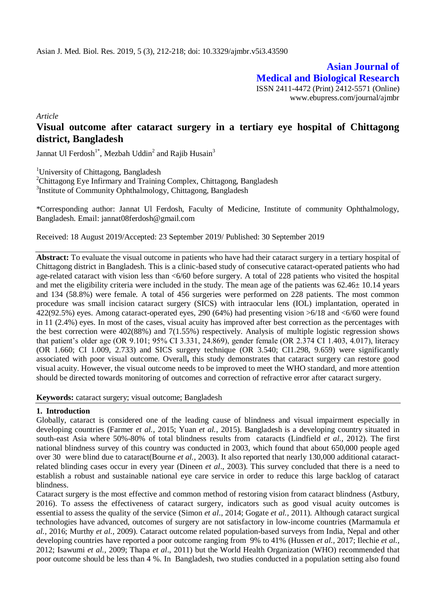**Asian Journal of Medical and Biological Research** ISSN 2411-4472 (Print) 2412-5571 (Online) www.ebupress.com/journal/ajmbr

*Article*

# **Visual outcome after cataract surgery in a tertiary eye hospital of Chittagong district, Bangladesh**

Jannat Ul Ferdosh<sup>1\*</sup>, Mezbah Uddin<sup>2</sup> and Rajib Husain<sup>3</sup>

<sup>1</sup>University of Chittagong, Bangladesh

<sup>2</sup>Chittagong Eye Infirmary and Training Complex, Chittagong, Bangladesh <sup>3</sup>Institute of Community Ophthalmology, Chittagong, Bangladesh

\*Corresponding author: Jannat Ul Ferdosh, Faculty of Medicine, Institute of community Ophthalmology, Bangladesh. Email: [jannat08ferdosh@gmail.com](mailto:jannat08ferdosh@gmail.com)

Received: 18 August 2019/Accepted: 23 September 2019/ Published: 30 September 2019

**Abstract:** To evaluate the visual outcome in patients who have had their cataract surgery in a tertiary hospital of Chittagong district in Bangladesh. This is a clinic-based study of consecutive cataract-operated patients who had age-related cataract with vision less than <6/60 before surgery. A total of 228 patients who visited the hospital and met the eligibility criteria were included in the study. The mean age of the patients was  $62.46 \pm 10.14$  years and 134 (58.8%) were female. A total of 456 surgeries were performed on 228 patients. The most common procedure was small incision cataract surgery (SICS) with intraocular lens (IOL) implantation, operated in 422(92.5%) eyes. Among cataract-operated eyes, 290 (64%) had presenting vision >6/18 and <6/60 were found in 11 (2.4%) eyes. In most of the cases, visual acuity has improved after best correction as the percentages with the best correction were 402(88%) and 7(1.55%) respectively. Analysis of multiple logistic regression shows that patient's older age (OR 9.101; 95% CI 3.331, 24.869), gender female (OR 2.374 CI 1.403, 4.017), literacy (OR 1.660; CI 1.009, 2.733) and SICS surgery technique (OR 3.540; CI1.298, 9.659) were significantly associated with poor visual outcome. Overall**,** this study demonstrates that cataract surgery can restore good visual acuity. However, the visual outcome needs to be improved to meet the WHO standard, and more attention should be directed towards monitoring of outcomes and correction of refractive error after cataract surgery.

**Keywords:** cataract surgery; visual outcome; Bangladesh

# **1. Introduction**

Globally, cataract is considered one of the leading cause of blindness and visual impairment especially in developing countries (Farmer *et al.,* 2015; Yuan *et al.,* 2015). Bangladesh is a developing country situated in south-east Asia where 50%-80% of total blindness results from cataracts (Lindfield *et al.,* 2012). The first national blindness survey of this country was conducted in 2003, which found that about 650,000 people aged over 30 were blind due to cataract(Bourne *et al.,* 2003). It also reported that nearly 130,000 additional cataractrelated blinding cases occur in every year (Dineen *et al*., 2003). This survey concluded that there is a need to establish a robust and sustainable national eye care service in order to reduce this large backlog of cataract blindness.

Cataract surgery is the most effective and common method of restoring vision from cataract blindness (Astbury, 2016). To assess the effectiveness of cataract surgery, indicators such as good visual acuity outcomes is essential to assess the quality of the service (Simon *et al*., 2014; Gogate *et al.,* 2011). Although cataract surgical technologies have advanced, outcomes of surgery are not satisfactory in low-income countries (Marmamula *et al.,* 2016; Murthy *et al.,* 2009). Cataract outcome related population-based surveys from India, Nepal and other developing countries have reported a poor outcome ranging from 9% to 41% (Hussen *et al.,* 2017; Ilechie *et al.,*  2012; Isawumi *et al.,* 2009; Thapa *et al*., 2011) but the World Health Organization (WHO) recommended that poor outcome should be less than 4 %. In Bangladesh, two studies conducted in a population setting also found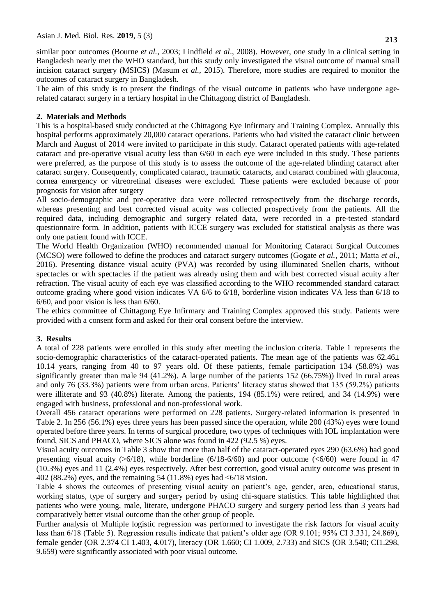similar poor outcomes (Bourne *et al.,* 2003; Lindfield *et al*., 2008). However, one study in a clinical setting in Bangladesh nearly met the WHO standard, but this study only investigated the visual outcome of manual small incision cataract surgery (MSICS) (Masum *et al.,* 2015). Therefore, more studies are required to monitor the outcomes of cataract surgery in Bangladesh.

The aim of this study is to present the findings of the visual outcome in patients who have undergone agerelated cataract surgery in a tertiary hospital in the Chittagong district of Bangladesh.

# **2. Materials and Methods**

This is a hospital-based study conducted at the Chittagong Eye Infirmary and Training Complex. Annually this hospital performs approximately 20,000 cataract operations. Patients who had visited the cataract clinic between March and August of 2014 were invited to participate in this study. Cataract operated patients with age-related cataract and pre-operative visual acuity less than 6/60 in each eye were included in this study. These patients were preferred, as the purpose of this study is to assess the outcome of the age-related blinding cataract after cataract surgery. Consequently, complicated cataract, traumatic cataracts, and cataract combined with glaucoma, cornea emergency or vitreoretinal diseases were excluded. These patients were excluded because of poor prognosis for vision after surgery

All socio-demographic and pre-operative data were collected retrospectively from the discharge records, whereas presenting and best corrected visual acuity was collected prospectively from the patients. All the required data, including demographic and surgery related data, were recorded in a pre-tested standard questionnaire form. In addition, patients with ICCE surgery was excluded for statistical analysis as there was only one patient found with ICCE.

The World Health Organization (WHO) recommended manual for Monitoring Cataract Surgical Outcomes (MCSO) were followed to define the produces and cataract surgery outcomes (Gogate *et al.,* 2011; Matta *et al.,*  2016). Presenting distance visual acuity (PVA) was recorded by using illuminated Snellen charts, without spectacles or with spectacles if the patient was already using them and with best corrected visual acuity after refraction. The visual acuity of each eye was classified according to the WHO recommended standard cataract outcome grading where good vision indicates VA 6/6 to 6/18, borderline vision indicates VA less than 6/18 to 6/60, and poor vision is less than 6/60.

The ethics committee of Chittagong Eye Infirmary and Training Complex approved this study. Patients were provided with a consent form and asked for their oral consent before the interview.

# **3. Results**

A total of 228 patients were enrolled in this study after meeting the inclusion criteria. Table 1 represents the socio-demographic characteristics of the cataract-operated patients. The mean age of the patients was  $62.46<sup>±</sup>$ 10.14 years, ranging from 40 to 97 years old. Of these patients, female participation 134 (58.8%) was significantly greater than male 94 (41.2%). A large number of the patients 152 (66.75%)) lived in rural areas and only 76 (33.3%) patients were from urban areas. Patients' literacy status showed that 135 (59.2%) patients were illiterate and 93 (40.8%) literate. Among the patients, 194 (85.1%) were retired, and 34 (14.9%) were engaged with business, professional and non-professional work.

Overall 456 cataract operations were performed on 228 patients. Surgery-related information is presented in Table 2. In 256 (56.1%) eyes three years has been passed since the operation, while 200 (43%) eyes were found operated before three years. In terms of surgical procedure, two types of techniques with IOL implantation were found, SICS and PHACO, where SICS alone was found in 422 (92.5 %) eyes.

Visual acuity outcomes in Table 3 show that more than half of the cataract-operated eyes 290 (63.6%) had good presenting visual acuity  $(5/18)$ , while borderline  $(6/18-6/60)$  and poor outcome  $( $6/60$ ) were found in 47$ (10.3%) eyes and 11 (2.4%) eyes respectively. After best correction, good visual acuity outcome was present in 402 (88.2%) eyes, and the remaining 54 (11.8%) eyes had  $\leq 6/18$  vision.

Table 4 shows the outcomes of presenting visual acuity on patient's age, gender, area, educational status, working status, type of surgery and surgery period by using chi-square statistics. This table highlighted that patients who were young, male, literate, undergone PHACO surgery and surgery period less than 3 years had comparatively better visual outcome than the other group of people.

Further analysis of Multiple logistic regression was performed to investigate the risk factors for visual acuity less than 6/18 (Table 5). Regression results indicate that patient's older age (OR 9.101; 95% CI 3.331, 24.869), female gender (OR 2.374 CI 1.403, 4.017), literacy (OR 1.660; CI 1.009, 2.733) and SICS (OR 3.540; CI1.298, 9.659) were significantly associated with poor visual outcome.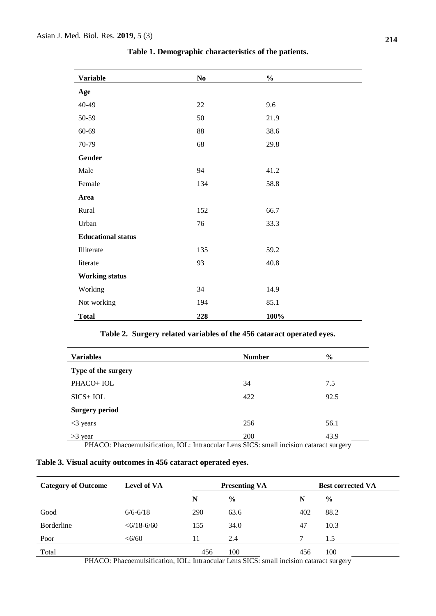| <b>Variable</b>           | $\bf No$ | $\%$ |
|---------------------------|----------|------|
| Age                       |          |      |
| 40-49                     | $22\,$   | 9.6  |
| 50-59                     | 50       | 21.9 |
| 60-69                     | 88       | 38.6 |
| 70-79                     | 68       | 29.8 |
| Gender                    |          |      |
| Male                      | 94       | 41.2 |
| Female                    | 134      | 58.8 |
| Area                      |          |      |
| Rural                     | 152      | 66.7 |
| Urban                     | 76       | 33.3 |
| <b>Educational status</b> |          |      |
| Illiterate                | 135      | 59.2 |
| literate                  | 93       | 40.8 |
| <b>Working status</b>     |          |      |
| Working                   | 34       | 14.9 |
| Not working               | 194      | 85.1 |
| <b>Total</b>              | 228      | 100% |

**Table 1. Demographic characteristics of the patients.**

|  |  |  |  |  |  |  |  | Table 2. Surgery related variables of the 456 cataract operated eyes. |  |
|--|--|--|--|--|--|--|--|-----------------------------------------------------------------------|--|
|--|--|--|--|--|--|--|--|-----------------------------------------------------------------------|--|

| <b>Variables</b>      | <b>Number</b> | $\frac{6}{6}$ |
|-----------------------|---------------|---------------|
| Type of the surgery   |               |               |
| PHACO+ IOL            | 34            | 7.5           |
| $SICS + IOL$          | 422           | 92.5          |
| <b>Surgery period</b> |               |               |
| $<$ 3 years           | 256           | 56.1          |
| $>3$ year             | 200           | 43.9          |

PHACO: Phacoemulsification, IOL: Intraocular Lens SICS: small incision cataract surgery

| Table 3. Visual acuity outcomes in 456 cataract operated eyes. |  |  |  |
|----------------------------------------------------------------|--|--|--|
|                                                                |  |  |  |

| <b>Category of Outcome</b> | <b>Level of VA</b>    | <b>Presenting VA</b> |               |     | <b>Best corrected VA</b> |  |
|----------------------------|-----------------------|----------------------|---------------|-----|--------------------------|--|
|                            |                       | N                    | $\frac{6}{9}$ | N   | $\frac{0}{0}$            |  |
| Good                       | $6/6 - 6/18$          | 290                  | 63.6          | 402 | 88.2                     |  |
| <b>Borderline</b>          | $<\frac{6}{18}$ -6/60 | 155                  | 34.0          | 47  | 10.3                     |  |
| Poor                       | $<\!\!6/60$           | 11                   | 2.4           | ⇁   | 1.5                      |  |
| Total                      |                       | 456                  | 100           | 456 | 100                      |  |

PHACO: Phacoemulsification, IOL: Intraocular Lens SICS: small incision cataract surgery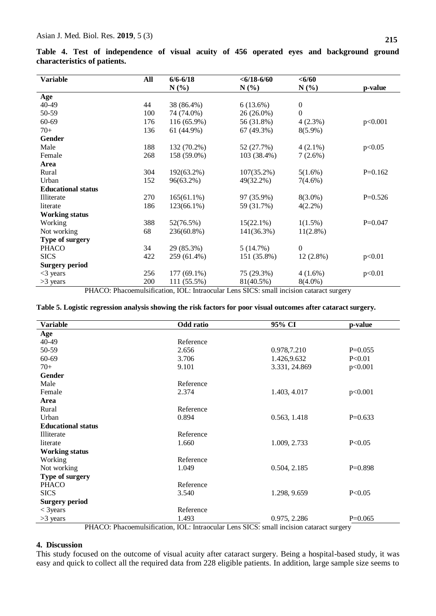| <b>Variable</b>           | All | $6/6 - 6/18$  | $<\frac{6}{18}$ -6/60 | < 6/60           |           |
|---------------------------|-----|---------------|-----------------------|------------------|-----------|
|                           |     | $N(\%)$       | $N(\%)$               | $N(\%)$          | p-value   |
| Age                       |     |               |                       |                  |           |
| 40-49                     | 44  | 38 (86.4%)    | 6(13.6%)              | $\mathbf{0}$     |           |
| 50-59                     | 100 | 74 (74.0%)    | 26 (26.0%)            | $\boldsymbol{0}$ |           |
| 60-69                     | 176 | $116(65.9\%)$ | 56 (31.8%)            | 4(2.3%)          | p<0.001   |
| $70+$                     | 136 | 61 (44.9%)    | 67 (49.3%)            | $8(5.9\%)$       |           |
| <b>Gender</b>             |     |               |                       |                  |           |
| Male                      | 188 | 132 (70.2%)   | 52 (27.7%)            | $4(2.1\%)$       | p<0.05    |
| Female                    | 268 | 158 (59.0%)   | 103 (38.4%)           | $7(2.6\%)$       |           |
| Area                      |     |               |                       |                  |           |
| Rural                     | 304 | 192(63.2%)    | $107(35.2\%)$         | $5(1.6\%)$       | $P=0.162$ |
| Urban                     | 152 | 96(63.2%)     | 49(32.2%)             | $7(4.6\%)$       |           |
| <b>Educational status</b> |     |               |                       |                  |           |
| Illiterate                | 270 | $165(61.1\%)$ | 97 (35.9%)            | $8(3.0\%)$       | $P=0.526$ |
| literate                  | 186 | 123(66.1%)    | 59 (31.7%)            | $4(2.2\%)$       |           |
| <b>Working status</b>     |     |               |                       |                  |           |
| Working                   | 388 | 52(76.5%)     | $15(22.1\%)$          | $1(1.5\%)$       | $P=0.047$ |
| Not working               | 68  | 236(60.8%)    | 141(36.3%)            | $11(2.8\%)$      |           |
| Type of surgery           |     |               |                       |                  |           |
| <b>PHACO</b>              | 34  | 29 (85.3%)    | 5(14.7%)              | $\mathbf{0}$     |           |
| <b>SICS</b>               | 422 | 259 (61.4%)   | 151 (35.8%)           | $12(2.8\%)$      | p<0.01    |
| <b>Surgery period</b>     |     |               |                       |                  |           |
| $<$ 3 years               | 256 | 177 (69.1%)   | 75 (29.3%)            | $4(1.6\%)$       | p<0.01    |
| >3 years                  | 200 | 111 (55.5%)   | 81(40.5%)             | $8(4.0\%)$       |           |

**Table 4. Test of independence of visual acuity of 456 operated eyes and background ground characteristics of patients.**

PHACO: Phacoemulsification, IOL: Intraocular Lens SICS: small incision cataract surgery

|  |  |  | Table 5. Logistic regression analysis showing the risk factors for poor visual outcomes after cataract surgery. |  |
|--|--|--|-----------------------------------------------------------------------------------------------------------------|--|
|  |  |  |                                                                                                                 |  |

| <b>Variable</b>           | Odd ratio | 95% CI        | p-value   |
|---------------------------|-----------|---------------|-----------|
| Age                       |           |               |           |
| 40-49                     | Reference |               |           |
| 50-59                     | 2.656     | 0.978,7.210   | $P=0.055$ |
| 60-69                     | 3.706     | 1.426,9.632   | P< 0.01   |
| $70+$                     | 9.101     | 3.331, 24.869 | p<0.001   |
| <b>Gender</b>             |           |               |           |
| Male                      | Reference |               |           |
| Female                    | 2.374     | 1.403, 4.017  | p<0.001   |
| Area                      |           |               |           |
| Rural                     | Reference |               |           |
| Urban                     | 0.894     | 0.563, 1.418  | $P=0.633$ |
| <b>Educational status</b> |           |               |           |
| Illiterate                | Reference |               |           |
| literate                  | 1.660     | 1.009, 2.733  | P<0.05    |
| <b>Working status</b>     |           |               |           |
| Working                   | Reference |               |           |
| Not working               | 1.049     | 0.504, 2.185  | $P=0.898$ |
| Type of surgery           |           |               |           |
| <b>PHACO</b>              | Reference |               |           |
| <b>SICS</b>               | 3.540     | 1.298, 9.659  | P<0.05    |
| <b>Surgery period</b>     |           |               |           |
| $<$ 3 years               | Reference |               |           |
| $>3$ years                | 1.493     | 0.975, 2.286  | $P=0.065$ |

# ): Phacoemulsification, IOL: Intraocular Lens SICS: small incision cataract surgery

#### **4. Discussion**

This study focused on the outcome of visual acuity after cataract surgery. Being a hospital-based study, it was easy and quick to collect all the required data from 228 eligible patients. In addition, large sample size seems to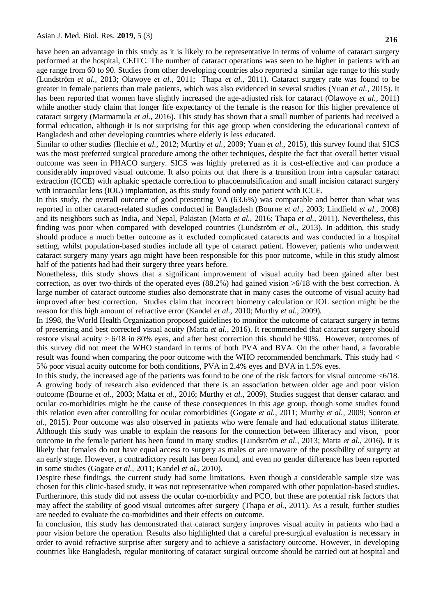have been an advantage in this study as it is likely to be representative in terms of volume of cataract surgery performed at the hospital, CEITC. The number of cataract operations was seen to be higher in patients with an age range from 60 to 90. Studies from other developing countries also reported a similar age range to this study (Lundström *et al.,* 2013; Olawoye *et al.,* 2011; Thapa *et al.,* 2011). Cataract surgery rate was found to be greater in female patients than male patients, which was also evidenced in several studies (Yuan *et al.,* 2015). It has been reported that women have slightly increased the age-adjusted risk for cataract (Olawoye *et al.,* 2011) while another study claim that longer life expectancy of the female is the reason for this higher prevalence of cataract surgery (Marmamula *et al.,* 2016). This study has shown that a small number of patients had received a formal education, although it is not surprising for this age group when considering the educational context of Bangladesh and other developing countries where elderly is less educated.

Similar to other studies (Ilechie *et al.,* 2012; Murthy *et al.,* 2009; Yuan *et al.,* 2015), this survey found that SICS was the most preferred surgical procedure among the other techniques, despite the fact that overall better visual outcome was seen in PHACO surgery. SICS was highly preferred as it is cost-effective and can produce a considerably improved visual outcome. It also points out that there is a transition from intra capsular cataract extraction (ICCE) with aphakic spectacle correction to phacoemulsification and small incision cataract surgery with intraocular lens (IOL) implantation, as this study found only one patient with ICCE.

In this study, the overall outcome of good presenting VA (63.6%) was comparable and better than what was reported in other cataract-related studies conducted in Bangladesh (Bourne *et al*., 2003; Lindfield *et al*., 2008) and its neighbors such as India, and Nepal, Pakistan (Matta *et al.,* 2016; Thapa *et al.,* 2011). Nevertheless, this finding was poor when compared with developed countries (Lundström *et al.,* 2013). In addition, this study should produce a much better outcome as it excluded complicated cataracts and was conducted in a hospital setting, whilst population-based studies include all type of cataract patient. However, patients who underwent cataract surgery many years ago might have been responsible for this poor outcome, while in this study almost half of the patients had had their surgery three years before.

Nonetheless, this study shows that a significant improvement of visual acuity had been gained after best correction, as over two-thirds of the operated eyes (88.2%) had gained vision >6/18 with the best correction. A large number of cataract outcome studies also demonstrate that in many cases the outcome of visual acuity had improved after best correction. Studies claim that incorrect biometry calculation or IOL section might be the reason for this high amount of refractive error (Kandel *et al.,* 2010; Murthy *et al.,* 2009).

In 1998, the World Health Organization proposed guidelines to monitor the outcome of cataract surgery in terms of presenting and best corrected visual acuity (Matta *et al.,* 2016). It recommended that cataract surgery should restore visual acuity > 6/18 in 80% eyes, and after best correction this should be 90%. However, outcomes of this survey did not meet the WHO standard in terms of both PVA and BVA. On the other hand, a favorable result was found when comparing the poor outcome with the WHO recommended benchmark. This study had < 5% poor visual acuity outcome for both conditions, PVA in 2.4% eyes and BVA in 1.5% eyes.

In this study, the increased age of the patients was found to be one of the risk factors for visual outcome  $\langle 6/18$ . A growing body of research also evidenced that there is an association between older age and poor vision outcome (Bourne *et al.,* 2003; Matta *et al.,* 2016; Murthy *et al.,* 2009). Studies suggest that denser cataract and ocular co-morbidities might be the cause of these consequences in this age group, though some studies found this relation even after controlling for ocular comorbidities (Gogate *et al.*, 2011; Murthy *et al.,* 2009; Sonron *et al.,* 2015). Poor outcome was also observed in patients who were female and had educational status illiterate. Although this study was unable to explain the reasons for the connection between illiteracy and vison, poor outcome in the female patient has been found in many studies (Lundström *et al.,* 2013; Matta *et al.,* 2016)**.** It is likely that females do not have equal access to surgery as males or are unaware of the possibility of surgery at an early stage. However, a contradictory result has been found, and even no gender difference has been reported in some studies (Gogate *et al.,* 2011; Kandel *et al.,* 2010).

Despite these findings, the current study had some limitations. Even though a considerable sample size was chosen for this clinic-based study, it was not representative when compared with other population-based studies. Furthermore, this study did not assess the ocular co-morbidity and PCO, but these are potential risk factors that may affect the stability of good visual outcomes after surgery (Thapa *et al.,* 2011). As a result, further studies are needed to evaluate the co-morbidities and their effects on outcome.

In conclusion, this study has demonstrated that cataract surgery improves visual acuity in patients who had a poor vision before the operation. Results also highlighted that a careful pre-surgical evaluation is necessary in order to avoid refractive surprise after surgery and to achieve a satisfactory outcome. However, in developing countries like Bangladesh, regular monitoring of cataract surgical outcome should be carried out at hospital and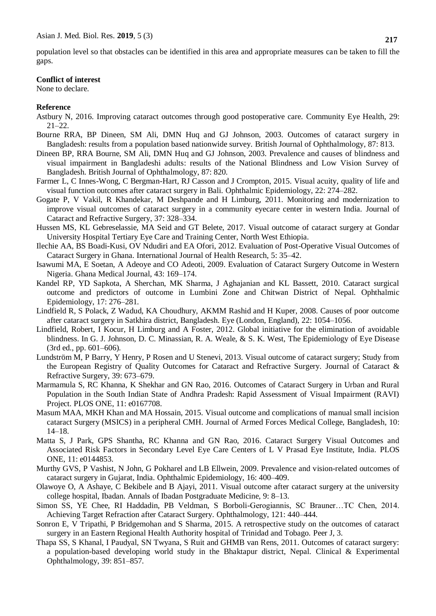population level so that obstacles can be identified in this area and appropriate measures can be taken to fill the gaps.

#### **Conflict of interest**

None to declare.

# **Reference**

- Astbury N, 2016. Improving cataract outcomes through good postoperative care. Community Eye Health, 29: 21–22.
- Bourne RRA, BP Dineen, SM Ali, DMN Huq and GJ Johnson, 2003. Outcomes of cataract surgery in Bangladesh: results from a population based nationwide survey. British Journal of Ophthalmology, 87: 813.
- Dineen BP, RRA Bourne, SM Ali, DMN Huq and GJ Johnson, 2003. Prevalence and causes of blindness and visual impairment in Bangladeshi adults: results of the National Blindness and Low Vision Survey of Bangladesh. British Journal of Ophthalmology, 87: 820.
- Farmer L, C Innes-Wong, C Bergman-Hart, RJ Casson and J Crompton, 2015. Visual acuity, quality of life and visual function outcomes after cataract surgery in Bali. Ophthalmic Epidemiology, 22: 274–282.
- Gogate P, V Vakil, R Khandekar, M Deshpande and H Limburg, 2011. Monitoring and modernization to improve visual outcomes of cataract surgery in a community eyecare center in western India. Journal of Cataract and Refractive Surgery, 37: 328–334.
- Hussen MS, KL Gebreselassie, MA Seid and GT Belete, 2017. Visual outcome of cataract surgery at Gondar University Hospital Tertiary Eye Care and Training Center, North West Ethiopia.
- Ilechie AA, BS Boadi-Kusi, OV Ndudiri and EA Ofori, 2012. Evaluation of Post-Operative Visual Outcomes of Cataract Surgery in Ghana. International Journal of Health Research, 5: 35–42.
- Isawumi MA, E Soetan, A Adeoye and CO Adeoti, 2009. Evaluation of Cataract Surgery Outcome in Western Nigeria. Ghana Medical Journal, 43: 169–174.
- Kandel RP, YD Sapkota, A Sherchan, MK Sharma, J Aghajanian and KL Bassett, 2010. Cataract surgical outcome and predictors of outcome in Lumbini Zone and Chitwan District of Nepal. Ophthalmic Epidemiology, 17: 276–281.
- Lindfield R, S Polack, Z Wadud, KA Choudhury, AKMM Rashid and H Kuper, 2008. Causes of poor outcome after cataract surgery in Satkhira district, Bangladesh. Eye (London, England), 22: 1054–1056.
- Lindfield, Robert, I Kocur, H Limburg and A Foster, 2012. Global initiative for the elimination of avoidable blindness. In G. J. Johnson, D. C. Minassian, R. A. Weale, & S. K. West, The Epidemiology of Eye Disease (3rd ed., pp. 601–606).
- Lundström M, P Barry, Y Henry, P Rosen and U Stenevi, 2013. Visual outcome of cataract surgery; Study from the European Registry of Quality Outcomes for Cataract and Refractive Surgery. Journal of Cataract & Refractive Surgery, 39: 673–679.
- Marmamula S, RC Khanna, K Shekhar and GN Rao, 2016. Outcomes of Cataract Surgery in Urban and Rural Population in the South Indian State of Andhra Pradesh: Rapid Assessment of Visual Impairment (RAVI) Project. PLOS ONE, 11: e0167708.
- Masum MAA, MKH Khan and MA Hossain, 2015. Visual outcome and complications of manual small incision cataract Surgery (MSICS) in a peripheral CMH. Journal of Armed Forces Medical College, Bangladesh, 10: 14–18.
- Matta S, J Park, GPS Shantha, RC Khanna and GN Rao, 2016. Cataract Surgery Visual Outcomes and Associated Risk Factors in Secondary Level Eye Care Centers of L V Prasad Eye Institute, India. PLOS ONE, 11: e0144853.
- Murthy GVS, P Vashist, N John, G Pokharel and LB Ellwein, 2009. Prevalence and vision-related outcomes of cataract surgery in Gujarat, India. Ophthalmic Epidemiology, 16: 400–409.
- Olawoye O, A Ashaye, C Bekibele and B Ajayi, 2011. Visual outcome after cataract surgery at the university college hospital, Ibadan. Annals of Ibadan Postgraduate Medicine, 9: 8–13.
- Simon SS, YE Chee, RI Haddadin, PB Veldman, S Borboli-Gerogiannis, SC Brauner…TC Chen, 2014. Achieving Target Refraction after Cataract Surgery. Ophthalmology, 121: 440–444.
- Sonron E, V Tripathi, P Bridgemohan and S Sharma, 2015. A retrospective study on the outcomes of cataract surgery in an Eastern Regional Health Authority hospital of Trinidad and Tobago. Peer J, 3.
- Thapa SS, S Khanal, I Paudyal, SN Twyana, S Ruit and GHMB van Rens, 2011. Outcomes of cataract surgery: a population-based developing world study in the Bhaktapur district, Nepal. Clinical & Experimental Ophthalmology, 39: 851–857.